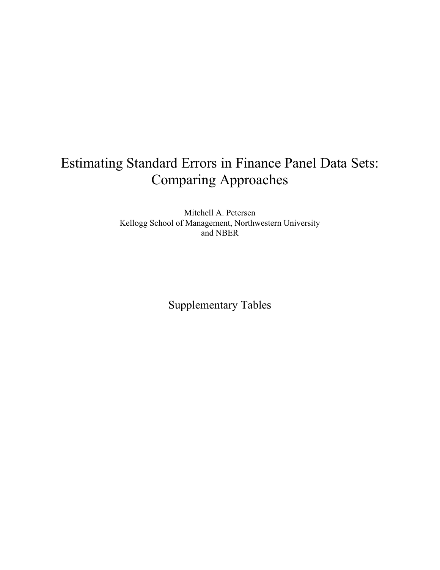# Estimating Standard Errors in Finance Panel Data Sets: Comparing Approaches

Mitchell A. Petersen Kellogg School of Management, Northwestern University and NBER

Supplementary Tables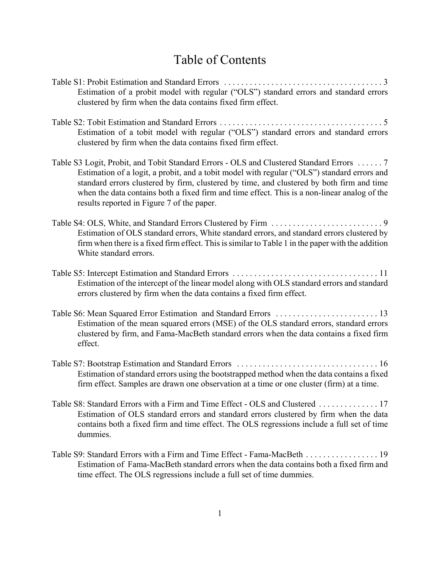## Table of Contents

| Estimation of a probit model with regular ("OLS") standard errors and standard errors<br>clustered by firm when the data contains fixed firm effect.                                                                                                                                                                                                                                                                               |
|------------------------------------------------------------------------------------------------------------------------------------------------------------------------------------------------------------------------------------------------------------------------------------------------------------------------------------------------------------------------------------------------------------------------------------|
| Estimation of a tobit model with regular ("OLS") standard errors and standard errors<br>clustered by firm when the data contains fixed firm effect.                                                                                                                                                                                                                                                                                |
| Table S3 Logit, Probit, and Tobit Standard Errors - OLS and Clustered Standard Errors  7<br>Estimation of a logit, a probit, and a tobit model with regular ("OLS") standard errors and<br>standard errors clustered by firm, clustered by time, and clustered by both firm and time<br>when the data contains both a fixed firm and time effect. This is a non-linear analog of the<br>results reported in Figure 7 of the paper. |
| Estimation of OLS standard errors, White standard errors, and standard errors clustered by<br>firm when there is a fixed firm effect. This is similar to Table 1 in the paper with the addition<br>White standard errors.                                                                                                                                                                                                          |
| Estimation of the intercept of the linear model along with OLS standard errors and standard<br>errors clustered by firm when the data contains a fixed firm effect.                                                                                                                                                                                                                                                                |
| Estimation of the mean squared errors (MSE) of the OLS standard errors, standard errors<br>clustered by firm, and Fama-MacBeth standard errors when the data contains a fixed firm<br>effect.                                                                                                                                                                                                                                      |
| Estimation of standard errors using the bootstrapped method when the data contains a fixed<br>firm effect. Samples are drawn one observation at a time or one cluster (firm) at a time.                                                                                                                                                                                                                                            |
| Estimation of OLS standard errors and standard errors clustered by firm when the data<br>contains both a fixed firm and time effect. The OLS regressions include a full set of time<br>dummies.                                                                                                                                                                                                                                    |

Table S9: Standard Errors with a Firm and Time Effect - Fama-MacBeth . . . . . . . . . . . . . . . . . 19 Estimation of Fama-MacBeth standard errors when the data contains both a fixed firm and time effect. The OLS regressions include a full set of time dummies.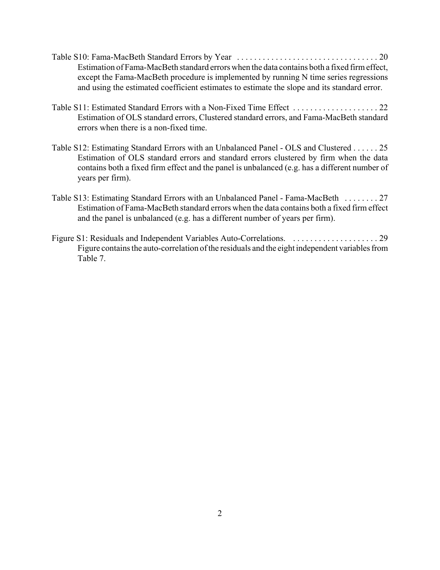- Table S10: Fama-MacBeth Standard Errors by Year . . . . . . . . . . . . . . . . . . . . . . . . . . . . . . . . . 20 Estimation of Fama-MacBeth standard errors when the data contains both a fixed firm effect, except the Fama-MacBeth procedure is implemented by running N time series regressions and using the estimated coefficient estimates to estimate the slope and its standard error.
- Table S11: Estimated Standard Errors with a Non-Fixed Time Effect . . . . . . . . . . . . . . . . . . . . 22 Estimation of OLS standard errors, Clustered standard errors, and Fama-MacBeth standard errors when there is a non-fixed time.
- Table S12: Estimating Standard Errors with an Unbalanced Panel OLS and Clustered . . . . . . 25 Estimation of OLS standard errors and standard errors clustered by firm when the data contains both a fixed firm effect and the panel is unbalanced (e.g. has a different number of years per firm).
- Table S13: Estimating Standard Errors with an Unbalanced Panel Fama-MacBeth . . . . . . . . 27 Estimation of Fama-MacBeth standard errors when the data contains both a fixed firm effect and the panel is unbalanced (e.g. has a different number of years per firm).
- Figure S1: Residuals and Independent Variables Auto-Correlations. . . . . . . . . . . . . . . . . . . . . 29 Figure contains the auto-correlation of the residuals and the eight independent variables from Table 7.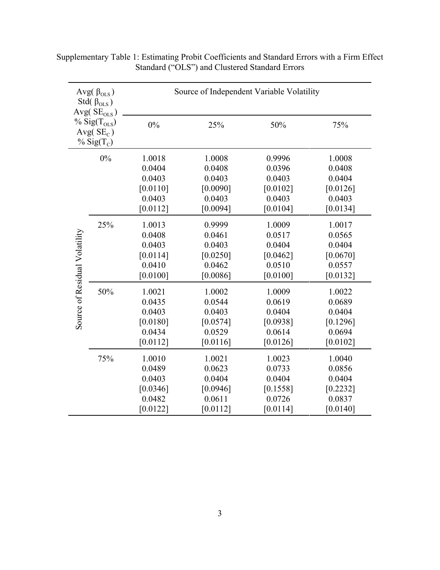| Avg $(\beta_{OLS})$<br>Std( $\beta_{OLS}$ )<br>Avg( $SEOLS$ )<br>$% Sig(T_{OLS})$<br>Avg $(SE_C)$<br>$%$ Sig(T <sub>c</sub> ) |       | Source of Independent Variable Volatility                    |                                                              |                                                              |                                                                |
|-------------------------------------------------------------------------------------------------------------------------------|-------|--------------------------------------------------------------|--------------------------------------------------------------|--------------------------------------------------------------|----------------------------------------------------------------|
|                                                                                                                               |       | 0%                                                           | 25%                                                          | 50%                                                          | 75%                                                            |
|                                                                                                                               | $0\%$ | 1.0018<br>0.0404<br>0.0403<br>[0.0110]<br>0.0403<br>[0.0112] | 1.0008<br>0.0408<br>0.0403<br>[0.0090]<br>0.0403<br>[0.0094] | 0.9996<br>0.0396<br>0.0403<br>[0.0102]<br>0.0403<br>[0.0104] | 1.0008<br>0.0408<br>0.0404<br>[0.0126]<br>0.0403<br>[0.0134]   |
| Source of Residual Volatility                                                                                                 | 25%   | 1.0013<br>0.0408<br>0.0403<br>[0.0114]<br>0.0410<br>[0.0100] | 0.9999<br>0.0461<br>0.0403<br>[0.0250]<br>0.0462<br>[0.0086] | 1.0009<br>0.0517<br>0.0404<br>[0.0462]<br>0.0510<br>[0.0100] | 1.0017<br>0.0565<br>0.0404<br>[0.0670]<br>0.0557<br>[0.0132]   |
|                                                                                                                               | 50%   | 1.0021<br>0.0435<br>0.0403<br>[0.0180]<br>0.0434<br>[0.0112] | 1.0002<br>0.0544<br>0.0403<br>[0.0574]<br>0.0529<br>[0.0116] | 1.0009<br>0.0619<br>0.0404<br>[0.0938]<br>0.0614<br>[0.0126] | 1.0022<br>0.0689<br>0.0404<br>[0.1296]<br>0.0694<br>[0.0102]   |
|                                                                                                                               | 75%   | 1.0010<br>0.0489<br>0.0403<br>[0.0346]<br>0.0482<br>[0.0122] | 1.0021<br>0.0623<br>0.0404<br>[0.0946]<br>0.0611<br>[0.0112] | 1.0023<br>0.0733<br>0.0404<br>[0.1558]<br>0.0726<br>[0.0114] | 1.0040<br>0.0856<br>0.0404<br>$[0.2232]$<br>0.0837<br>[0.0140] |

Supplementary Table 1: Estimating Probit Coefficients and Standard Errors with a Firm Effect Standard ("OLS") and Clustered Standard Errors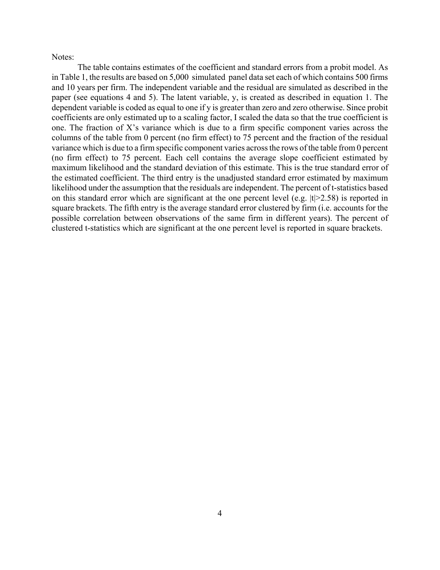The table contains estimates of the coefficient and standard errors from a probit model. As in Table 1, the results are based on 5,000 simulated panel data set each of which contains 500 firms and 10 years per firm. The independent variable and the residual are simulated as described in the paper (see equations 4 and 5). The latent variable, y, is created as described in equation 1. The dependent variable is coded as equal to one if y is greater than zero and zero otherwise. Since probit coefficients are only estimated up to a scaling factor, I scaled the data so that the true coefficient is one. The fraction of X's variance which is due to a firm specific component varies across the columns of the table from 0 percent (no firm effect) to 75 percent and the fraction of the residual variance which is due to a firm specific component varies across the rows of the table from 0 percent (no firm effect) to 75 percent. Each cell contains the average slope coefficient estimated by maximum likelihood and the standard deviation of this estimate. This is the true standard error of the estimated coefficient. The third entry is the unadjusted standard error estimated by maximum likelihood under the assumption that the residuals are independent. The percent of t-statistics based on this standard error which are significant at the one percent level (e.g.  $|t| > 2.58$ ) is reported in square brackets. The fifth entry is the average standard error clustered by firm (i.e. accounts for the possible correlation between observations of the same firm in different years). The percent of clustered t-statistics which are significant at the one percent level is reported in square brackets.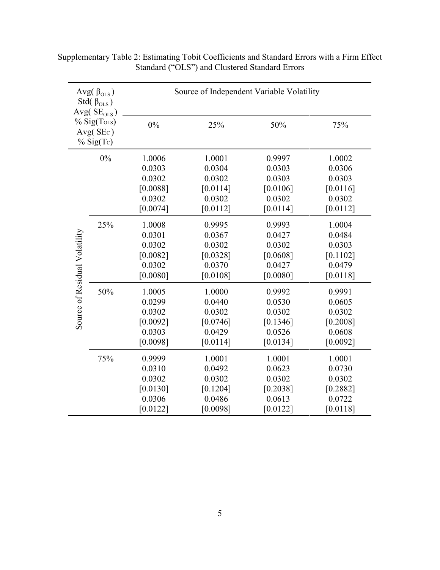| Avg( $\beta_{OLS}$ )<br>Std( $\beta_{OLS}$ )<br>Avg( $SE_{OLS}$ )<br>$\%$ Sig(ToLs)<br>Avg(SEc)<br>$%$ Sig(Tc) |       | Source of Independent Variable Volatility                    |                                                              |                                                              |                                                              |  |
|----------------------------------------------------------------------------------------------------------------|-------|--------------------------------------------------------------|--------------------------------------------------------------|--------------------------------------------------------------|--------------------------------------------------------------|--|
|                                                                                                                |       | 0%                                                           | 25%                                                          | 50%                                                          | 75%                                                          |  |
|                                                                                                                | $0\%$ | 1.0006<br>0.0303<br>0.0302<br>[0.0088]<br>0.0302<br>[0.0074] | 1.0001<br>0.0304<br>0.0302<br>[0.0114]<br>0.0302<br>[0.0112] | 0.9997<br>0.0303<br>0.0303<br>[0.0106]<br>0.0302<br>[0.0114] | 1.0002<br>0.0306<br>0.0303<br>[0.0116]<br>0.0302<br>[0.0112] |  |
| Source of Residual Volatility                                                                                  | 25%   | 1.0008<br>0.0301<br>0.0302<br>[0.0082]<br>0.0302<br>[0.0080] | 0.9995<br>0.0367<br>0.0302<br>[0.0328]<br>0.0370<br>[0.0108] | 0.9993<br>0.0427<br>0.0302<br>[0.0608]<br>0.0427<br>[0.0080] | 1.0004<br>0.0484<br>0.0303<br>[0.1102]<br>0.0479<br>[0.0118] |  |
|                                                                                                                | 50%   | 1.0005<br>0.0299<br>0.0302<br>[0.0092]<br>0.0303<br>[0.0098] | 1.0000<br>0.0440<br>0.0302<br>[0.0746]<br>0.0429<br>[0.0114] | 0.9992<br>0.0530<br>0.0302<br>[0.1346]<br>0.0526<br>[0.0134] | 0.9991<br>0.0605<br>0.0302<br>[0.2008]<br>0.0608<br>[0.0092] |  |
|                                                                                                                | 75%   | 0.9999<br>0.0310<br>0.0302<br>[0.0130]<br>0.0306<br>[0.0122] | 1.0001<br>0.0492<br>0.0302<br>[0.1204]<br>0.0486<br>[0.0098] | 1.0001<br>0.0623<br>0.0302<br>[0.2038]<br>0.0613<br>[0.0122] | 1.0001<br>0.0730<br>0.0302<br>[0.2882]<br>0.0722<br>[0.0118] |  |

Supplementary Table 2: Estimating Tobit Coefficients and Standard Errors with a Firm Effect Standard ("OLS") and Clustered Standard Errors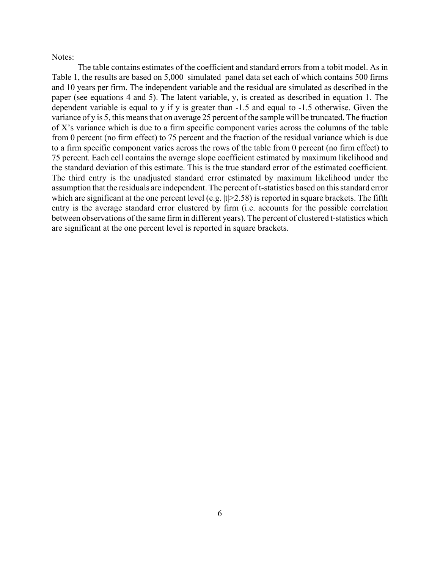The table contains estimates of the coefficient and standard errors from a tobit model. As in Table 1, the results are based on 5,000 simulated panel data set each of which contains 500 firms and 10 years per firm. The independent variable and the residual are simulated as described in the paper (see equations 4 and 5). The latent variable, y, is created as described in equation 1. The dependent variable is equal to y if y is greater than -1.5 and equal to -1.5 otherwise. Given the variance of y is 5, this means that on average 25 percent of the sample will be truncated. The fraction of X's variance which is due to a firm specific component varies across the columns of the table from 0 percent (no firm effect) to 75 percent and the fraction of the residual variance which is due to a firm specific component varies across the rows of the table from 0 percent (no firm effect) to 75 percent. Each cell contains the average slope coefficient estimated by maximum likelihood and the standard deviation of this estimate. This is the true standard error of the estimated coefficient. The third entry is the unadjusted standard error estimated by maximum likelihood under the assumption that the residuals are independent. The percent of t-statistics based on this standard error which are significant at the one percent level (e.g.  $|t| > 2.58$ ) is reported in square brackets. The fifth entry is the average standard error clustered by firm (i.e. accounts for the possible correlation between observations of the same firm in different years). The percent of clustered t-statistics which are significant at the one percent level is reported in square brackets.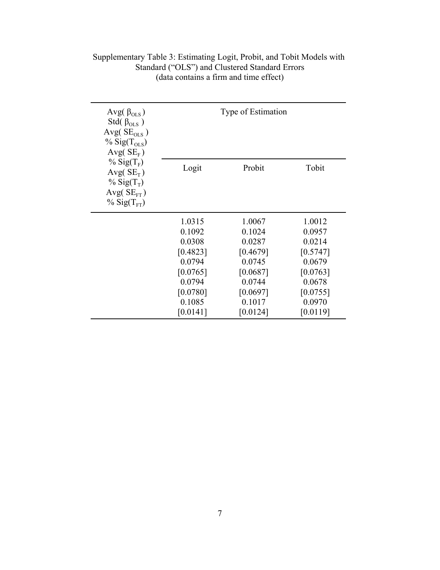| Avg $(\beta_{OLS})$<br>Std( $\beta_{OLS}$ )<br>Avg( $SE_{OLS}$ )<br>$\%$ Sig(T <sub>OLS</sub> )                                                  | Type of Estimation                                                                                       |                                                                                                          |                                                                                                          |  |
|--------------------------------------------------------------------------------------------------------------------------------------------------|----------------------------------------------------------------------------------------------------------|----------------------------------------------------------------------------------------------------------|----------------------------------------------------------------------------------------------------------|--|
| Avg( $SE_F$ )<br>$\%$ Sig(T <sub>F</sub> )<br>Avg( $SE_T$ )<br>$\%$ Sig(T <sub>T</sub> )<br>Avg(SE <sub>FT</sub> )<br>$\%$ Sig(T <sub>FT</sub> ) | Logit                                                                                                    | Probit                                                                                                   | Tobit                                                                                                    |  |
|                                                                                                                                                  | 1.0315<br>0.1092<br>0.0308<br>[0.4823]<br>0.0794<br>[0.0765]<br>0.0794<br>[0.0780]<br>0.1085<br>[0.0141] | 1.0067<br>0.1024<br>0.0287<br>[0.4679]<br>0.0745<br>[0.0687]<br>0.0744<br>[0.0697]<br>0.1017<br>[0.0124] | 1.0012<br>0.0957<br>0.0214<br>[0.5747]<br>0.0679<br>[0.0763]<br>0.0678<br>[0.0755]<br>0.0970<br>[0.0119] |  |

Supplementary Table 3: Estimating Logit, Probit, and Tobit Models with Standard ("OLS") and Clustered Standard Errors (data contains a firm and time effect)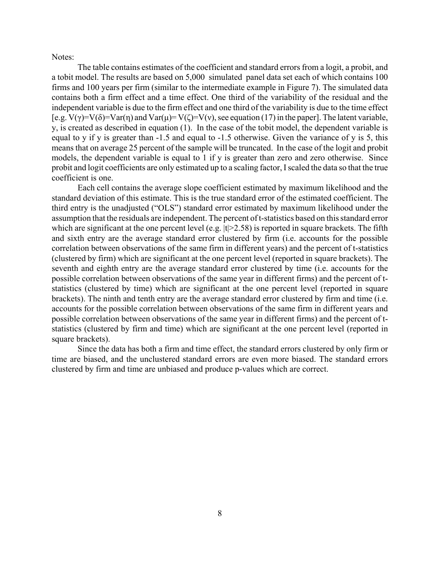The table contains estimates of the coefficient and standard errors from a logit, a probit, and a tobit model. The results are based on 5,000 simulated panel data set each of which contains 100 firms and 100 years per firm (similar to the intermediate example in Figure 7). The simulated data contains both a firm effect and a time effect. One third of the variability of the residual and the independent variable is due to the firm effect and one third of the variability is due to the time effect [e.g.  $V(\gamma)=V(\delta)=Var(\eta)$  and  $Var(\mu)=V(\zeta)=V(\nu)$ , see equation (17) in the paper]. The latent variable, y, is created as described in equation (1). In the case of the tobit model, the dependent variable is equal to y if y is greater than -1.5 and equal to -1.5 otherwise. Given the variance of y is 5, this means that on average 25 percent of the sample will be truncated. In the case of the logit and probit models, the dependent variable is equal to 1 if y is greater than zero and zero otherwise. Since probit and logit coefficients are only estimated up to a scaling factor, I scaled the data so that the true coefficient is one.

Each cell contains the average slope coefficient estimated by maximum likelihood and the standard deviation of this estimate. This is the true standard error of the estimated coefficient. The third entry is the unadjusted ("OLS") standard error estimated by maximum likelihood under the assumption that the residuals are independent. The percent of t-statistics based on this standard error which are significant at the one percent level (e.g.  $|t| > 2.58$ ) is reported in square brackets. The fifth and sixth entry are the average standard error clustered by firm (i.e. accounts for the possible correlation between observations of the same firm in different years) and the percent of t-statistics (clustered by firm) which are significant at the one percent level (reported in square brackets). The seventh and eighth entry are the average standard error clustered by time (i.e. accounts for the possible correlation between observations of the same year in different firms) and the percent of tstatistics (clustered by time) which are significant at the one percent level (reported in square brackets). The ninth and tenth entry are the average standard error clustered by firm and time (i.e. accounts for the possible correlation between observations of the same firm in different years and possible correlation between observations of the same year in different firms) and the percent of tstatistics (clustered by firm and time) which are significant at the one percent level (reported in square brackets).

Since the data has both a firm and time effect, the standard errors clustered by only firm or time are biased, and the unclustered standard errors are even more biased. The standard errors clustered by firm and time are unbiased and produce p-values which are correct.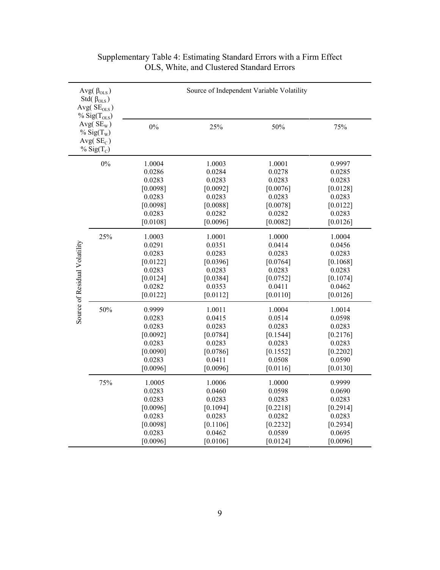| Avg( $\beta_{OLS}$ )<br>Std( $\beta_{OLS}$ )<br>Avg( $SEOLS$ )<br>% Sig $(T_{OLS})$<br>Avg $(SE_w)$<br>% Sig $(T_w)$<br>Avg( $SE_C$ )<br>% Sig $(T_c)$ |       | Source of Independent Variable Volatility                                          |                                                                                    |                                                                                      |                                                                                    |  |
|--------------------------------------------------------------------------------------------------------------------------------------------------------|-------|------------------------------------------------------------------------------------|------------------------------------------------------------------------------------|--------------------------------------------------------------------------------------|------------------------------------------------------------------------------------|--|
|                                                                                                                                                        |       | 0%                                                                                 | 25%                                                                                | 50%                                                                                  | 75%                                                                                |  |
|                                                                                                                                                        | $0\%$ | 1.0004<br>0.0286<br>0.0283<br>[0.0098]<br>0.0283<br>[0.0098]<br>0.0283<br>[0.0108] | 1.0003<br>0.0284<br>0.0283<br>[0.0092]<br>0.0283<br>[0.0088]<br>0.0282<br>[0.0096] | 1.0001<br>0.0278<br>0.0283<br>[0.0076]<br>0.0283<br>[0.0078]<br>0.0282<br>[0.0082]   | 0.9997<br>0.0285<br>0.0283<br>[0.0128]<br>0.0283<br>[0.0122]<br>0.0283<br>[0.0126] |  |
| Source of Residual Volatility                                                                                                                          | 25%   | 1.0003<br>0.0291<br>0.0283<br>[0.0122]<br>0.0283<br>[0.0124]<br>0.0282<br>[0.0122] | 1.0001<br>0.0351<br>0.0283<br>[0.0396]<br>0.0283<br>[0.0384]<br>0.0353<br>[0.0112] | 1.0000<br>0.0414<br>0.0283<br>[0.0764]<br>0.0283<br>[0.0752]<br>0.0411<br>[0.0110]   | 1.0004<br>0.0456<br>0.0283<br>[0.1068]<br>0.0283<br>[0.1074]<br>0.0462<br>[0.0126] |  |
|                                                                                                                                                        | 50%   | 0.9999<br>0.0283<br>0.0283<br>[0.0092]<br>0.0283<br>[0.0090]<br>0.0283<br>[0.0096] | 1.0011<br>0.0415<br>0.0283<br>[0.0784]<br>0.0283<br>[0.0786]<br>0.0411<br>[0.0096] | 1.0004<br>0.0514<br>0.0283<br>[0.1544]<br>0.0283<br>[0.1552]<br>0.0508<br>[0.0116]   | 1.0014<br>0.0598<br>0.0283<br>[0.2176]<br>0.0283<br>[0.2202]<br>0.0590<br>[0.0130] |  |
|                                                                                                                                                        | 75%   | 1.0005<br>0.0283<br>0.0283<br>[0.0096]<br>0.0283<br>[0.0098]<br>0.0283<br>[0.0096] | 1.0006<br>0.0460<br>0.0283<br>[0.1094]<br>0.0283<br>[0.1106]<br>0.0462<br>[0.0106] | 1.0000<br>0.0598<br>0.0283<br>[0.2218]<br>0.0282<br>$[0.2232]$<br>0.0589<br>[0.0124] | 0.9999<br>0.0690<br>0.0283<br>[0.2914]<br>0.0283<br>[0.2934]<br>0.0695<br>[0.0096] |  |

### Supplementary Table 4: Estimating Standard Errors with a Firm Effect OLS, White, and Clustered Standard Errors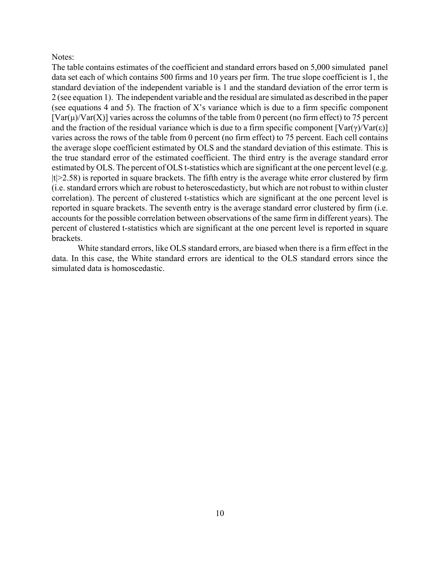The table contains estimates of the coefficient and standard errors based on 5,000 simulated panel data set each of which contains 500 firms and 10 years per firm. The true slope coefficient is 1, the standard deviation of the independent variable is 1 and the standard deviation of the error term is 2 (see equation 1). The independent variable and the residual are simulated as described in the paper (see equations 4 and 5). The fraction of X's variance which is due to a firm specific component  $[Var(\mu)/Var(X)]$  varies across the columns of the table from 0 percent (no firm effect) to 75 percent and the fraction of the residual variance which is due to a firm specific component  $[Var(\gamma)/Var(\varepsilon)]$ varies across the rows of the table from 0 percent (no firm effect) to 75 percent. Each cell contains the average slope coefficient estimated by OLS and the standard deviation of this estimate. This is the true standard error of the estimated coefficient. The third entry is the average standard error estimated by OLS. The percent of OLS t-statistics which are significant at the one percent level (e.g.  $|t|$  > 2.58) is reported in square brackets. The fifth entry is the average white error clustered by firm (i.e. standard errors which are robust to heteroscedasticty, but which are not robust to within cluster correlation). The percent of clustered t-statistics which are significant at the one percent level is reported in square brackets. The seventh entry is the average standard error clustered by firm (i.e. accounts for the possible correlation between observations of the same firm in different years). The percent of clustered t-statistics which are significant at the one percent level is reported in square brackets.

White standard errors, like OLS standard errors, are biased when there is a firm effect in the data. In this case, the White standard errors are identical to the OLS standard errors since the simulated data is homoscedastic.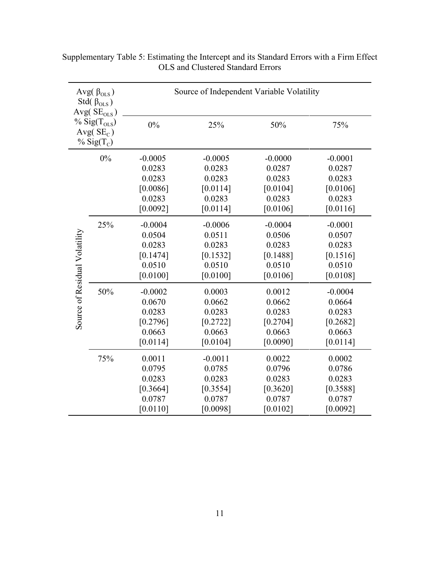| Avg $(\beta_{OLS})$<br>Std( $\beta_{OLS}$ )<br>Avg( $SEOLS$ )<br>$%$ Sig(T <sub>OLS</sub> )<br>Avg $(SE_C)$<br>% Sig $(T_c)$ |       | Source of Independent Variable Volatility |           |           |           |  |
|------------------------------------------------------------------------------------------------------------------------------|-------|-------------------------------------------|-----------|-----------|-----------|--|
|                                                                                                                              |       | 0%                                        | 25%       | 50%       | 75%       |  |
|                                                                                                                              | $0\%$ | $-0.0005$                                 | $-0.0005$ | $-0.0000$ | $-0.0001$ |  |
|                                                                                                                              |       | 0.0283                                    | 0.0283    | 0.0287    | 0.0287    |  |
|                                                                                                                              |       | 0.0283                                    | 0.0283    | 0.0283    | 0.0283    |  |
|                                                                                                                              |       | [0.0086]                                  | [0.0114]  | [0.0104]  | [0.0106]  |  |
|                                                                                                                              |       | 0.0283                                    | 0.0283    | 0.0283    | 0.0283    |  |
|                                                                                                                              |       | [0.0092]                                  | [0.0114]  | [0.0106]  | [0.0116]  |  |
|                                                                                                                              | 25%   | $-0.0004$                                 | $-0.0006$ | $-0.0004$ | $-0.0001$ |  |
|                                                                                                                              |       | 0.0504                                    | 0.0511    | 0.0506    | 0.0507    |  |
|                                                                                                                              |       | 0.0283                                    | 0.0283    | 0.0283    | 0.0283    |  |
|                                                                                                                              |       | [0.1474]                                  | [0.1532]  | [0.1488]  | [0.1516]  |  |
|                                                                                                                              |       | 0.0510                                    | 0.0510    | 0.0510    | 0.0510    |  |
|                                                                                                                              |       | [0.0100]                                  | [0.0100]  | [0.0106]  | [0.0108]  |  |
| Source of Residual Volatility                                                                                                | 50%   | $-0.0002$                                 | 0.0003    | 0.0012    | $-0.0004$ |  |
|                                                                                                                              |       | 0.0670                                    | 0.0662    | 0.0662    | 0.0664    |  |
|                                                                                                                              |       | 0.0283                                    | 0.0283    | 0.0283    | 0.0283    |  |
|                                                                                                                              |       | [0.2796]                                  | [0.2722]  | [0.2704]  | [0.2682]  |  |
|                                                                                                                              |       | 0.0663                                    | 0.0663    | 0.0663    | 0.0663    |  |
|                                                                                                                              |       | [0.0114]                                  | [0.0104]  | [0.0090]  | [0.0114]  |  |
|                                                                                                                              | 75%   | 0.0011                                    | $-0.0011$ | 0.0022    | 0.0002    |  |
|                                                                                                                              |       | 0.0795                                    | 0.0785    | 0.0796    | 0.0786    |  |
|                                                                                                                              |       | 0.0283                                    | 0.0283    | 0.0283    | 0.0283    |  |
|                                                                                                                              |       | [0.3664]                                  | [0.3554]  | [0.3620]  | [0.3588]  |  |
|                                                                                                                              |       | 0.0787                                    | 0.0787    | 0.0787    | 0.0787    |  |
|                                                                                                                              |       | [0.0110]                                  | [0.0098]  | [0.0102]  | [0.0092]  |  |

Supplementary Table 5: Estimating the Intercept and its Standard Errors with a Firm Effect OLS and Clustered Standard Errors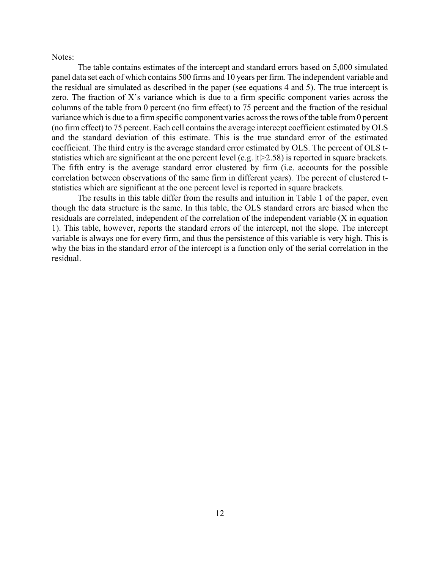The table contains estimates of the intercept and standard errors based on 5,000 simulated panel data set each of which contains 500 firms and 10 years per firm. The independent variable and the residual are simulated as described in the paper (see equations 4 and 5). The true intercept is zero. The fraction of X's variance which is due to a firm specific component varies across the columns of the table from 0 percent (no firm effect) to 75 percent and the fraction of the residual variance which is due to a firm specific component varies across the rows of the table from 0 percent (no firm effect) to 75 percent. Each cell contains the average intercept coefficient estimated by OLS and the standard deviation of this estimate. This is the true standard error of the estimated coefficient. The third entry is the average standard error estimated by OLS. The percent of OLS tstatistics which are significant at the one percent level (e.g.  $|t| > 2.58$ ) is reported in square brackets. The fifth entry is the average standard error clustered by firm (i.e. accounts for the possible correlation between observations of the same firm in different years). The percent of clustered tstatistics which are significant at the one percent level is reported in square brackets.

The results in this table differ from the results and intuition in Table 1 of the paper, even though the data structure is the same. In this table, the OLS standard errors are biased when the residuals are correlated, independent of the correlation of the independent variable (X in equation 1). This table, however, reports the standard errors of the intercept, not the slope. The intercept variable is always one for every firm, and thus the persistence of this variable is very high. This is why the bias in the standard error of the intercept is a function only of the serial correlation in the residual.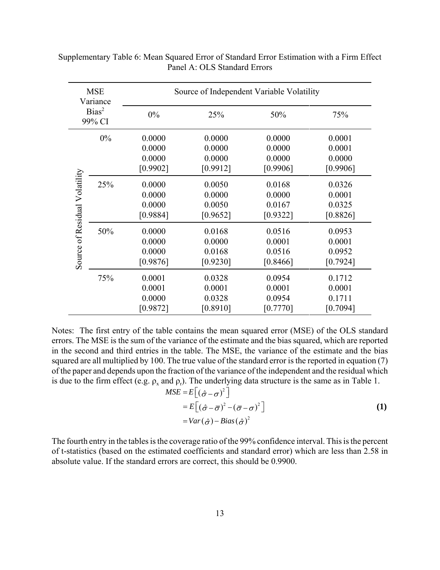| <b>MSE</b><br>Variance<br>$Bias^2$<br>99% CI |       | Source of Independent Variable Volatility |                                        |                                        |                                        |  |
|----------------------------------------------|-------|-------------------------------------------|----------------------------------------|----------------------------------------|----------------------------------------|--|
|                                              |       | 0%                                        | 25%                                    | 50%                                    | 75%                                    |  |
|                                              | $0\%$ | 0.0000<br>0.0000<br>0.0000<br>[0.9902]    | 0.0000<br>0.0000<br>0.0000<br>[0.9912] | 0.0000<br>0.0000<br>0.0000<br>[0.9906] | 0.0001<br>0.0001<br>0.0000<br>[0.9906] |  |
| Source of Residual Volatility                | 25%   | 0.0000<br>0.0000<br>0.0000<br>[0.9884]    | 0.0050<br>0.0000<br>0.0050<br>[0.9652] | 0.0168<br>0.0000<br>0.0167<br>[0.9322] | 0.0326<br>0.0001<br>0.0325<br>[0.8826] |  |
|                                              | 50%   | 0.0000<br>0.0000<br>0.0000<br>[0.9876]    | 0.0168<br>0.0000<br>0.0168<br>[0.9230] | 0.0516<br>0.0001<br>0.0516<br>[0.8466] | 0.0953<br>0.0001<br>0.0952<br>[0.7924] |  |
|                                              | 75%   | 0.0001<br>0.0001<br>0.0000<br>[0.9872]    | 0.0328<br>0.0001<br>0.0328<br>[0.8910] | 0.0954<br>0.0001<br>0.0954<br>[0.7770] | 0.1712<br>0.0001<br>0.1711<br>[0.7094] |  |

Supplementary Table 6: Mean Squared Error of Standard Error Estimation with a Firm Effect Panel A: OLS Standard Errors

Notes: The first entry of the table contains the mean squared error (MSE) of the OLS standard errors. The MSE is the sum of the variance of the estimate and the bias squared, which are reported in the second and third entries in the table. The MSE, the variance of the estimate and the bias squared are all multiplied by 100. The true value of the standard error is the reported in equation (7) of the paper and depends upon the fraction of the variance of the independent and the residual which is due to the firm effect (e.g.  $\rho_x$  and  $\rho_r$ ). The underlying data structure is the same as in Table 1.

$$
MSE = E[(\hat{\sigma} - \sigma)^{2}]
$$
  
=  $E[(\hat{\sigma} - \bar{\sigma})^{2} - (\bar{\sigma} - \sigma)^{2}]$   
=  $Var(\hat{\sigma}) - Bias(\hat{\sigma})^{2}$  (1)

The fourth entry in the tables is the coverage ratio of the 99% confidence interval. This is the percent of t-statistics (based on the estimated coefficients and standard error) which are less than 2.58 in absolute value. If the standard errors are correct, this should be 0.9900.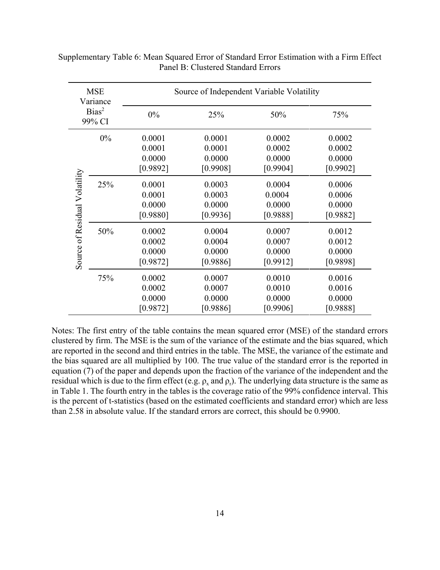| <b>MSE</b><br>Variance<br>$Bias^2$<br>99% CI |     | Source of Independent Variable Volatility |                                        |                                        |                                        |  |
|----------------------------------------------|-----|-------------------------------------------|----------------------------------------|----------------------------------------|----------------------------------------|--|
|                                              |     | $0\%$                                     | 25%                                    | 50%                                    | 75%                                    |  |
|                                              | 0%  | 0.0001<br>0.0001<br>0.0000<br>[0.9892]    | 0.0001<br>0.0001<br>0.0000<br>[0.9908] | 0.0002<br>0.0002<br>0.0000<br>[0.9904] | 0.0002<br>0.0002<br>0.0000<br>[0.9902] |  |
| Source of Residual Volatility                | 25% | 0.0001<br>0.0001<br>0.0000<br>[0.9880]    | 0.0003<br>0.0003<br>0.0000<br>[0.9936] | 0.0004<br>0.0004<br>0.0000<br>[0.9888] | 0.0006<br>0.0006<br>0.0000<br>[0.9882] |  |
|                                              | 50% | 0.0002<br>0.0002<br>0.0000<br>[0.9872]    | 0.0004<br>0.0004<br>0.0000<br>[0.9886] | 0.0007<br>0.0007<br>0.0000<br>[0.9912] | 0.0012<br>0.0012<br>0.0000<br>[0.9898] |  |
|                                              | 75% | 0.0002<br>0.0002<br>0.0000<br>[0.9872]    | 0.0007<br>0.0007<br>0.0000<br>[0.9886] | 0.0010<br>0.0010<br>0.0000<br>[0.9906] | 0.0016<br>0.0016<br>0.0000<br>[0.9888] |  |

Supplementary Table 6: Mean Squared Error of Standard Error Estimation with a Firm Effect Panel B: Clustered Standard Errors

Notes: The first entry of the table contains the mean squared error (MSE) of the standard errors clustered by firm. The MSE is the sum of the variance of the estimate and the bias squared, which are reported in the second and third entries in the table. The MSE, the variance of the estimate and the bias squared are all multiplied by 100. The true value of the standard error is the reported in equation (7) of the paper and depends upon the fraction of the variance of the independent and the residual which is due to the firm effect (e.g.  $\rho_x$  and  $\rho_r$ ). The underlying data structure is the same as in Table 1. The fourth entry in the tables is the coverage ratio of the 99% confidence interval. This is the percent of t-statistics (based on the estimated coefficients and standard error) which are less than 2.58 in absolute value. If the standard errors are correct, this should be 0.9900.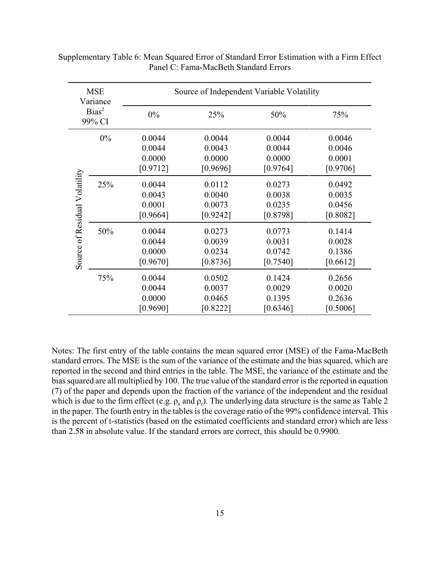| <b>MSE</b><br>Variance<br>$Bias^2$<br>99% CI |     | Source of Independent Variable Volatility |                                        |                                        |                                        |  |
|----------------------------------------------|-----|-------------------------------------------|----------------------------------------|----------------------------------------|----------------------------------------|--|
|                                              |     | $0\%$                                     | 25%                                    | 50%                                    | 75%                                    |  |
|                                              | 0%  | 0.0044<br>0.0044<br>0.0000<br>[0.9712]    | 0.0044<br>0.0043<br>0.0000<br>[0.9696] | 0.0044<br>0.0044<br>0.0000<br>[0.9764] | 0.0046<br>0.0046<br>0.0001<br>[0.9706] |  |
| Source of Residual Volatility                | 25% | 0.0044<br>0.0043<br>0.0001<br>[0.9664]    | 0.0112<br>0.0040<br>0.0073<br>[0.9242] | 0.0273<br>0.0038<br>0.0235<br>[0.8798] | 0.0492<br>0.0035<br>0.0456<br>[0.8082] |  |
|                                              | 50% | 0.0044<br>0.0044<br>0.0000<br>[0.9670]    | 0.0273<br>0.0039<br>0.0234<br>[0.8736] | 0.0773<br>0.0031<br>0.0742<br>[0.7540] | 0.1414<br>0.0028<br>0.1386<br>[0.6612] |  |
|                                              | 75% | 0.0044<br>0.0044<br>0.0000<br>[0.9690]    | 0.0502<br>0.0037<br>0.0465<br>[0.8222] | 0.1424<br>0.0029<br>0.1395<br>[0.6346] | 0.2656<br>0.0020<br>0.2636<br>[0.5006] |  |

Supplementary Table 6: Mean Squared Error of Standard Error Estimation with a Firm Effect Panel C: Fama-MacBeth Standard Errors

Notes: The first entry of the table contains the mean squared error (MSE) of the Fama-MacBeth standard errors. The MSE is the sum of the variance of the estimate and the bias squared, which are reported in the second and third entries in the table. The MSE, the variance of the estimate and the bias squared are all multiplied by 100. The true value of the standard error is the reported in equation (7) of the paper and depends upon the fraction of the variance of the independent and the residual which is due to the firm effect (e.g.  $\rho_x$  and  $\rho_y$ ). The underlying data structure is the same as Table 2 in the paper. The fourth entry in the tables is the coverage ratio of the 99% confidence interval. This is the percent of t-statistics (based on the estimated coefficients and standard error) which are less than 2.58 in absolute value. If the standard errors are correct, this should be 0.9900.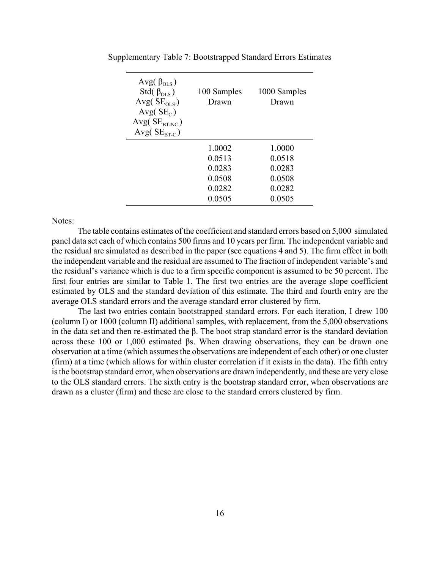| Avg $(\beta_{OLS})$<br>Std( $\beta_{OLS}$ )<br>Avg( $SE_{OLS}$ )<br>Avg $(SE_C)$<br>Avg( $SERT-NC$ )<br>Avg( $SERT-C$ ) | 100 Samples<br>Drawn | 1000 Samples<br>Drawn |
|-------------------------------------------------------------------------------------------------------------------------|----------------------|-----------------------|
|                                                                                                                         | 1.0002               | 1.0000                |
|                                                                                                                         | 0.0513               | 0.0518                |
|                                                                                                                         | 0.0283               | 0.0283                |
|                                                                                                                         | 0.0508               | 0.0508                |
|                                                                                                                         | 0.0282               | 0.0282                |
|                                                                                                                         | 0.0505               | 0.0505                |

Supplementary Table 7: Bootstrapped Standard Errors Estimates

The table contains estimates of the coefficient and standard errors based on 5,000 simulated panel data set each of which contains 500 firms and 10 years per firm. The independent variable and the residual are simulated as described in the paper (see equations 4 and 5). The firm effect in both the independent variable and the residual are assumed to The fraction of independent variable's and the residual's variance which is due to a firm specific component is assumed to be 50 percent. The first four entries are similar to Table 1. The first two entries are the average slope coefficient estimated by OLS and the standard deviation of this estimate. The third and fourth entry are the average OLS standard errors and the average standard error clustered by firm.

The last two entries contain bootstrapped standard errors. For each iteration, I drew 100 (column I) or 1000 (column II) additional samples, with replacement, from the 5,000 observations in the data set and then re-estimated the β. The boot strap standard error is the standard deviation across these 100 or 1,000 estimated βs. When drawing observations, they can be drawn one observation at a time (which assumes the observations are independent of each other) or one cluster (firm) at a time (which allows for within cluster correlation if it exists in the data). The fifth entry is the bootstrap standard error, when observations are drawn independently, and these are very close to the OLS standard errors. The sixth entry is the bootstrap standard error, when observations are drawn as a cluster (firm) and these are close to the standard errors clustered by firm.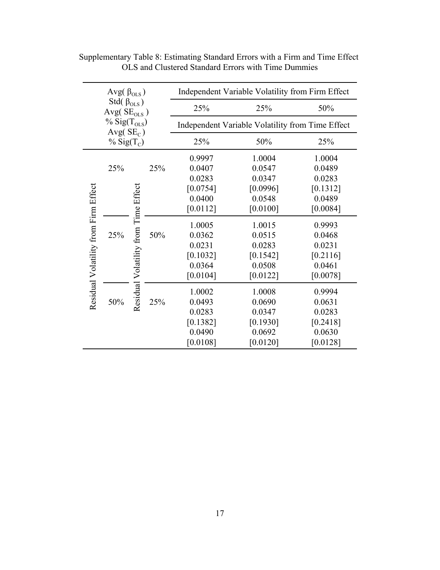|                                        | Avg $(\beta_{OLS})$           |                                      | Independent Variable Volatility from Firm Effect |          |                                                  |          |
|----------------------------------------|-------------------------------|--------------------------------------|--------------------------------------------------|----------|--------------------------------------------------|----------|
| Std( $\beta_{OLS}$ )<br>Avg( $SEOLS$ ) |                               |                                      |                                                  | 25%      | 25%                                              | 50%      |
|                                        | $\%$ Sig(T <sub>OLS</sub> )   |                                      |                                                  |          | Independent Variable Volatility from Time Effect |          |
|                                        | Avg $(SE_C)$<br>% Sig $(T_c)$ |                                      |                                                  | 25%      | 50%                                              | 25%      |
|                                        |                               |                                      |                                                  | 0.9997   | 1.0004                                           | 1.0004   |
|                                        | 25%                           |                                      | 25%                                              | 0.0407   | 0.0547                                           | 0.0489   |
|                                        |                               |                                      |                                                  | 0.0283   | 0.0347                                           | 0.0283   |
|                                        |                               |                                      |                                                  | [0.0754] | [0.0996]                                         | [0.1312] |
|                                        |                               |                                      |                                                  | 0.0400   | 0.0548                                           | 0.0489   |
|                                        |                               |                                      |                                                  | [0.0112] | [0.0100]                                         | [0.0084] |
| Residual Volatility from Firm Effect   |                               | Residual Volatility from Time Effect |                                                  | 1.0005   | 1.0015                                           | 0.9993   |
|                                        | 25%                           |                                      | 50%                                              | 0.0362   | 0.0515                                           | 0.0468   |
|                                        |                               |                                      |                                                  | 0.0231   | 0.0283                                           | 0.0231   |
|                                        |                               |                                      |                                                  | [0.1032] | [0.1542]                                         | [0.2116] |
|                                        |                               |                                      |                                                  | 0.0364   | 0.0508                                           | 0.0461   |
|                                        |                               |                                      |                                                  | [0.0104] | [0.0122]                                         | [0.0078] |
|                                        |                               |                                      |                                                  | 1.0002   | 1.0008                                           | 0.9994   |
|                                        | 50%                           |                                      | 25%                                              | 0.0493   | 0.0690                                           | 0.0631   |
|                                        |                               |                                      |                                                  | 0.0283   | 0.0347                                           | 0.0283   |
|                                        |                               |                                      |                                                  | [0.1382] | [0.1930]                                         | [0.2418] |
|                                        |                               |                                      |                                                  | 0.0490   | 0.0692                                           | 0.0630   |
|                                        |                               |                                      |                                                  | [0.0108] | [0.0120]                                         | [0.0128] |

Supplementary Table 8: Estimating Standard Errors with a Firm and Time Effect OLS and Clustered Standard Errors with Time Dummies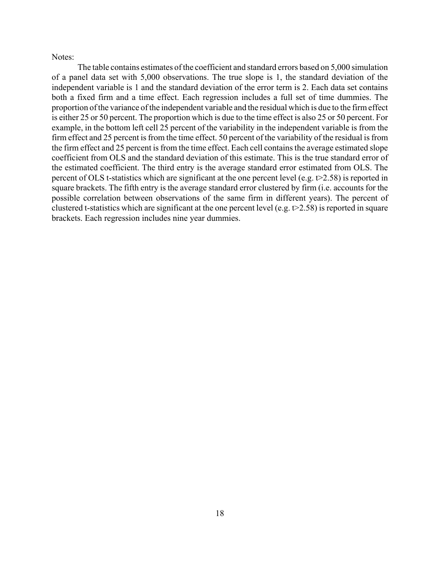The table contains estimates of the coefficient and standard errors based on 5,000 simulation of a panel data set with 5,000 observations. The true slope is 1, the standard deviation of the independent variable is 1 and the standard deviation of the error term is 2. Each data set contains both a fixed firm and a time effect. Each regression includes a full set of time dummies. The proportion of the variance of the independent variable and the residual which is due to the firm effect is either 25 or 50 percent. The proportion which is due to the time effect is also 25 or 50 percent. For example, in the bottom left cell 25 percent of the variability in the independent variable is from the firm effect and 25 percent is from the time effect. 50 percent of the variability of the residual is from the firm effect and 25 percent is from the time effect. Each cell contains the average estimated slope coefficient from OLS and the standard deviation of this estimate. This is the true standard error of the estimated coefficient. The third entry is the average standard error estimated from OLS. The percent of OLS t-statistics which are significant at the one percent level (e.g. t>2.58) is reported in square brackets. The fifth entry is the average standard error clustered by firm (i.e. accounts for the possible correlation between observations of the same firm in different years). The percent of clustered t-statistics which are significant at the one percent level (e.g.  $t > 2.58$ ) is reported in square brackets. Each regression includes nine year dummies.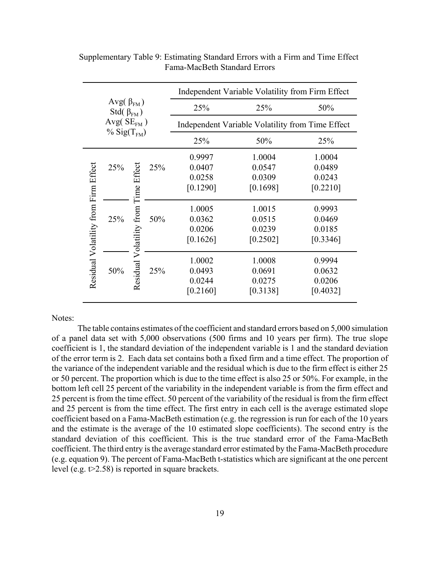|                                      | Avg $(\beta_{FM})$<br>Std( $\beta_{FM}$ ) |          |     | Independent Variable Volatility from Firm Effect |                                                  |          |  |
|--------------------------------------|-------------------------------------------|----------|-----|--------------------------------------------------|--------------------------------------------------|----------|--|
|                                      |                                           |          |     | 25%                                              | 25%                                              | 50%      |  |
|                                      | Avg( $SE_{FM}$ )                          |          |     |                                                  | Independent Variable Volatility from Time Effect |          |  |
|                                      | $\%$ Sig(T <sub>FM</sub> )                |          |     | 25%                                              | 50%                                              | 25%      |  |
|                                      |                                           |          |     | 0.9997                                           | 1.0004                                           | 1.0004   |  |
| Residual Volatility from Firm Effect | 25%                                       |          | 25% | 0.0407                                           | 0.0547                                           | 0.0489   |  |
|                                      |                                           |          |     | 0.0258                                           | 0.0309                                           | 0.0243   |  |
|                                      |                                           |          |     | [0.1290]                                         | [0.1698]                                         | [0.2210] |  |
|                                      | Volatility from Time Effect<br>25%        |          | 50% | 1.0005                                           | 1.0015                                           | 0.9993   |  |
|                                      |                                           |          |     | 0.0362                                           | 0.0515                                           | 0.0469   |  |
|                                      |                                           |          |     | 0.0206                                           | 0.0239                                           | 0.0185   |  |
|                                      |                                           |          |     | [0.1626]                                         | [0.2502]                                         | [0.3346] |  |
|                                      |                                           |          |     | 1.0002                                           | 1.0008                                           | 0.9994   |  |
|                                      | 50%                                       |          | 25% | 0.0493                                           | 0.0691                                           | 0.0632   |  |
|                                      |                                           | Residual |     | 0.0244                                           | 0.0275                                           | 0.0206   |  |
|                                      |                                           |          |     | [0.2160]                                         | [0.3138]                                         | [0.4032] |  |

Supplementary Table 9: Estimating Standard Errors with a Firm and Time Effect Fama-MacBeth Standard Errors

The table contains estimates of the coefficient and standard errors based on 5,000 simulation of a panel data set with 5,000 observations (500 firms and 10 years per firm). The true slope coefficient is 1, the standard deviation of the independent variable is 1 and the standard deviation of the error term is 2. Each data set contains both a fixed firm and a time effect. The proportion of the variance of the independent variable and the residual which is due to the firm effect is either 25 or 50 percent. The proportion which is due to the time effect is also 25 or 50%. For example, in the bottom left cell 25 percent of the variability in the independent variable is from the firm effect and 25 percent is from the time effect. 50 percent of the variability of the residual is from the firm effect and 25 percent is from the time effect. The first entry in each cell is the average estimated slope coefficient based on a Fama-MacBeth estimation (e.g. the regression is run for each of the 10 years and the estimate is the average of the 10 estimated slope coefficients). The second entry is the standard deviation of this coefficient. This is the true standard error of the Fama-MacBeth coefficient. The third entry is the average standard error estimated by the Fama-MacBeth procedure (e.g. equation 9). The percent of Fama-MacBeth t-statistics which are significant at the one percent level (e.g. t>2.58) is reported in square brackets.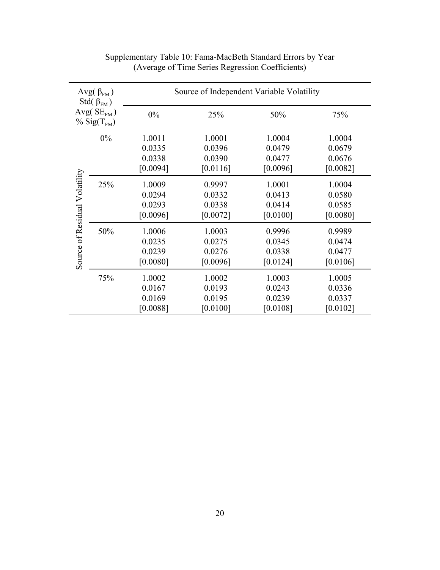| Avg( $\beta_{FM}$ )<br>Std( $\beta_{FM}$ )<br>Avg( $SE_{FM}$ )<br>$\%$ Sig(T <sub>FM</sub> ) |     | Source of Independent Variable Volatility |                                        |                                        |                                        |
|----------------------------------------------------------------------------------------------|-----|-------------------------------------------|----------------------------------------|----------------------------------------|----------------------------------------|
|                                                                                              |     | $0\%$                                     | 25%                                    | 50%                                    | 75%                                    |
| Source of Residual Volatility                                                                | 0%  | 1.0011<br>0.0335<br>0.0338<br>[0.0094]    | 1.0001<br>0.0396<br>0.0390<br>[0.0116] | 1.0004<br>0.0479<br>0.0477<br>[0.0096] | 1.0004<br>0.0679<br>0.0676<br>[0.0082] |
|                                                                                              | 25% | 1.0009<br>0.0294<br>0.0293<br>[0.0096]    | 0.9997<br>0.0332<br>0.0338<br>[0.0072] | 1.0001<br>0.0413<br>0.0414<br>[0.0100] | 1.0004<br>0.0580<br>0.0585<br>[0.0080] |
|                                                                                              | 50% | 1.0006<br>0.0235<br>0.0239<br>[0.0080]    | 1.0003<br>0.0275<br>0.0276<br>[0.0096] | 0.9996<br>0.0345<br>0.0338<br>[0.0124] | 0.9989<br>0.0474<br>0.0477<br>[0.0106] |
|                                                                                              | 75% | 1.0002<br>0.0167<br>0.0169<br>[0.0088]    | 1.0002<br>0.0193<br>0.0195<br>[0.0100] | 1.0003<br>0.0243<br>0.0239<br>[0.0108] | 1.0005<br>0.0336<br>0.0337<br>[0.0102] |

Supplementary Table 10: Fama-MacBeth Standard Errors by Year (Average of Time Series Regression Coefficients)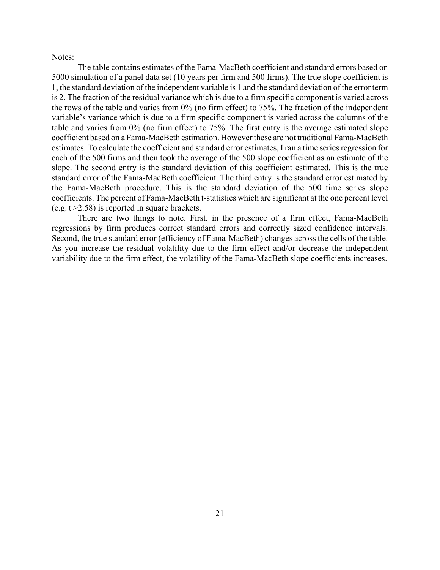The table contains estimates of the Fama-MacBeth coefficient and standard errors based on 5000 simulation of a panel data set (10 years per firm and 500 firms). The true slope coefficient is 1, the standard deviation of the independent variable is 1 and the standard deviation of the error term is 2. The fraction of the residual variance which is due to a firm specific component is varied across the rows of the table and varies from 0% (no firm effect) to 75%. The fraction of the independent variable's variance which is due to a firm specific component is varied across the columns of the table and varies from 0% (no firm effect) to 75%. The first entry is the average estimated slope coefficient based on a Fama-MacBeth estimation. However these are not traditional Fama-MacBeth estimates. To calculate the coefficient and standard error estimates, I ran a time series regression for each of the 500 firms and then took the average of the 500 slope coefficient as an estimate of the slope. The second entry is the standard deviation of this coefficient estimated. This is the true standard error of the Fama-MacBeth coefficient. The third entry is the standard error estimated by the Fama-MacBeth procedure. This is the standard deviation of the 500 time series slope coefficients. The percent of Fama-MacBeth t-statistics which are significant at the one percent level  $(e.g.|t|>2.58)$  is reported in square brackets.

There are two things to note. First, in the presence of a firm effect, Fama-MacBeth regressions by firm produces correct standard errors and correctly sized confidence intervals. Second, the true standard error (efficiency of Fama-MacBeth) changes across the cells of the table. As you increase the residual volatility due to the firm effect and/or decrease the independent variability due to the firm effect, the volatility of the Fama-MacBeth slope coefficients increases.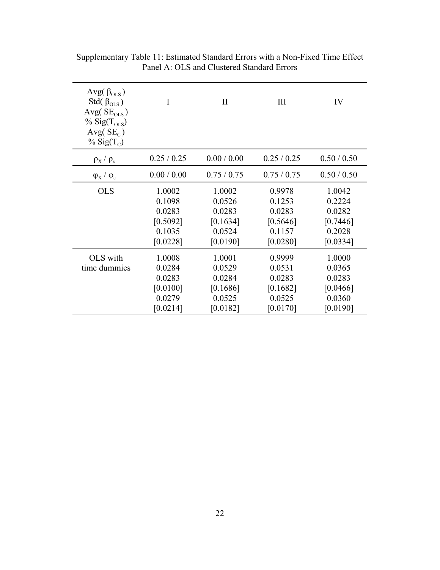| Avg $(\beta_{OLS})$<br>Std( $\beta_{OLS}$ )<br>Avg( $SE_{OLS}$ )<br>$\%$ Sig(T <sub>OLS</sub> )<br>Avg $(SE_C)$<br>% Sig $(T_c)$ | I           | $\mathbf{I}$ | III       | IV          |
|----------------------------------------------------------------------------------------------------------------------------------|-------------|--------------|-----------|-------------|
| $\rho_X / \rho_{\varepsilon}$                                                                                                    | 0.25 / 0.25 | 0.00 / 0.00  | 0.25/0.25 | 0.50 / 0.50 |
| $\varphi_X / \varphi_{\varepsilon}$                                                                                              | 0.00 / 0.00 | 0.75/0.75    | 0.75/0.75 | 0.50 / 0.50 |
| <b>OLS</b>                                                                                                                       | 1.0002      | 1.0002       | 0.9978    | 1.0042      |
|                                                                                                                                  | 0.1098      | 0.0526       | 0.1253    | 0.2224      |
|                                                                                                                                  | 0.0283      | 0.0283       | 0.0283    | 0.0282      |
|                                                                                                                                  | [0.5092]    | [0.1634]     | [0.5646]  | [0.7446]    |
|                                                                                                                                  | 0.1035      | 0.0524       | 0.1157    | 0.2028      |
|                                                                                                                                  | [0.0228]    | [0.0190]     | [0.0280]  | [0.0334]    |
| OLS with                                                                                                                         | 1.0008      | 1.0001       | 0.9999    | 1.0000      |
| time dummies                                                                                                                     | 0.0284      | 0.0529       | 0.0531    | 0.0365      |
|                                                                                                                                  | 0.0283      | 0.0284       | 0.0283    | 0.0283      |
|                                                                                                                                  | [0.0100]    | [0.1686]     | [0.1682]  | [0.0466]    |
|                                                                                                                                  | 0.0279      | 0.0525       | 0.0525    | 0.0360      |
|                                                                                                                                  | [0.0214]    | [0.0182]     | [0.0170]  | [0.0190]    |

Supplementary Table 11: Estimated Standard Errors with a Non-Fixed Time Effect Panel A: OLS and Clustered Standard Errors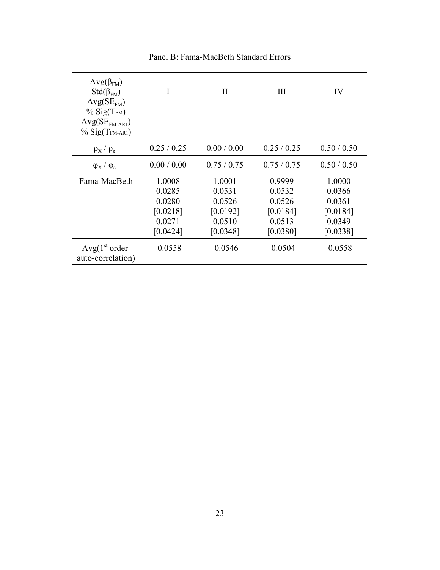| $Avg(\beta_{FM})$<br>$Std(\beta_{FM})$<br>$Avg(SE_{FM})$<br>$\%$ Sig(T <sub>FM</sub> )<br>$Avg(SEFM-AR1)$<br>$\%$ Sig(TFM-AR1) | I                                                            | $\mathbf{I}$                                                 | Ш                                                            | IV                                                           |
|--------------------------------------------------------------------------------------------------------------------------------|--------------------------------------------------------------|--------------------------------------------------------------|--------------------------------------------------------------|--------------------------------------------------------------|
| $\rho_{\rm X}/\rho_{\rm g}$                                                                                                    | 0.25/0.25                                                    | 0.00 / 0.00                                                  | 0.25/0.25                                                    | 0.50 / 0.50                                                  |
| $\varphi_{X}$ / $\varphi_{\varepsilon}$                                                                                        | 0.00 / 0.00                                                  | 0.75/0.75                                                    | 0.75/0.75                                                    | 0.50 / 0.50                                                  |
| Fama-MacBeth                                                                                                                   | 1.0008<br>0.0285<br>0.0280<br>[0.0218]<br>0.0271<br>[0.0424] | 1.0001<br>0.0531<br>0.0526<br>[0.0192]<br>0.0510<br>[0.0348] | 0.9999<br>0.0532<br>0.0526<br>[0.0184]<br>0.0513<br>[0.0380] | 1.0000<br>0.0366<br>0.0361<br>[0.0184]<br>0.0349<br>[0.0338] |
| Avg(1 <sup>st</sup> order)<br>auto-correlation)                                                                                | $-0.0558$                                                    | $-0.0546$                                                    | $-0.0504$                                                    | $-0.0558$                                                    |

Panel B: Fama-MacBeth Standard Errors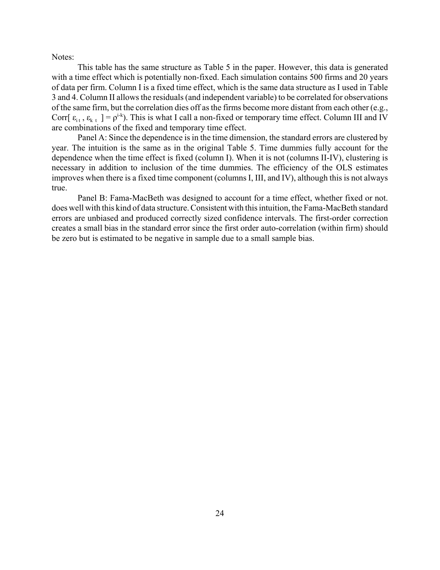This table has the same structure as Table 5 in the paper. However, this data is generated with a time effect which is potentially non-fixed. Each simulation contains 500 firms and 20 years of data per firm. Column I is a fixed time effect, which is the same data structure as I used in Table 3 and 4. Column II allows the residuals (and independent variable) to be correlated for observations of the same firm, but the correlation dies off as the firms become more distant from each other (e.g., Corr[  $\varepsilon_{i}$ ,  $\varepsilon_{k}$  t ] =  $\rho^{i-k}$ ). This is what I call a non-fixed or temporary time effect. Column III and IV are combinations of the fixed and temporary time effect.

Panel A: Since the dependence is in the time dimension, the standard errors are clustered by year. The intuition is the same as in the original Table 5. Time dummies fully account for the dependence when the time effect is fixed (column I). When it is not (columns II-IV), clustering is necessary in addition to inclusion of the time dummies. The efficiency of the OLS estimates improves when there is a fixed time component (columns I, III, and IV), although this is not always true.

Panel B: Fama-MacBeth was designed to account for a time effect, whether fixed or not. does well with this kind of data structure. Consistent with this intuition, the Fama-MacBeth standard errors are unbiased and produced correctly sized confidence intervals. The first-order correction creates a small bias in the standard error since the first order auto-correlation (within firm) should be zero but is estimated to be negative in sample due to a small sample bias.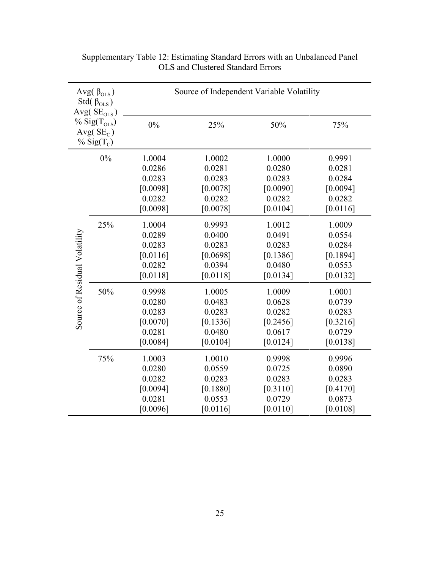| Avg $(\beta_{OLS})$<br>Std( $\beta_{OLS}$ )<br>Avg( $SEOLS$ )<br>$% Sig(T_{OLS})$<br>Avg $(SE_C)$<br>% Sig $(T_c)$ |     | Source of Independent Variable Volatility                    |                                                              |                                                              |                                                              |
|--------------------------------------------------------------------------------------------------------------------|-----|--------------------------------------------------------------|--------------------------------------------------------------|--------------------------------------------------------------|--------------------------------------------------------------|
|                                                                                                                    |     | 0%                                                           | 25%                                                          | 50%                                                          | 75%                                                          |
| Source of Residual Volatility                                                                                      | 0%  | 1.0004<br>0.0286<br>0.0283<br>[0.0098]<br>0.0282<br>[0.0098] | 1.0002<br>0.0281<br>0.0283<br>[0.0078]<br>0.0282<br>[0.0078] | 1.0000<br>0.0280<br>0.0283<br>[0.0090]<br>0.0282<br>[0.0104] | 0.9991<br>0.0281<br>0.0284<br>[0.0094]<br>0.0282<br>[0.0116] |
|                                                                                                                    | 25% | 1.0004<br>0.0289<br>0.0283<br>[0.0116]<br>0.0282<br>[0.0118] | 0.9993<br>0.0400<br>0.0283<br>[0.0698]<br>0.0394<br>[0.0118] | 1.0012<br>0.0491<br>0.0283<br>[0.1386]<br>0.0480<br>[0.0134] | 1.0009<br>0.0554<br>0.0284<br>[0.1894]<br>0.0553<br>[0.0132] |
|                                                                                                                    | 50% | 0.9998<br>0.0280<br>0.0283<br>[0.0070]<br>0.0281<br>[0.0084] | 1.0005<br>0.0483<br>0.0283<br>[0.1336]<br>0.0480<br>[0.0104] | 1.0009<br>0.0628<br>0.0282<br>[0.2456]<br>0.0617<br>[0.0124] | 1.0001<br>0.0739<br>0.0283<br>[0.3216]<br>0.0729<br>[0.0138] |
|                                                                                                                    | 75% | 1.0003<br>0.0280<br>0.0282<br>[0.0094]<br>0.0281<br>[0.0096] | 1.0010<br>0.0559<br>0.0283<br>[0.1880]<br>0.0553<br>[0.0116] | 0.9998<br>0.0725<br>0.0283<br>[0.3110]<br>0.0729<br>[0.0110] | 0.9996<br>0.0890<br>0.0283<br>[0.4170]<br>0.0873<br>[0.0108] |

Supplementary Table 12: Estimating Standard Errors with an Unbalanced Panel OLS and Clustered Standard Errors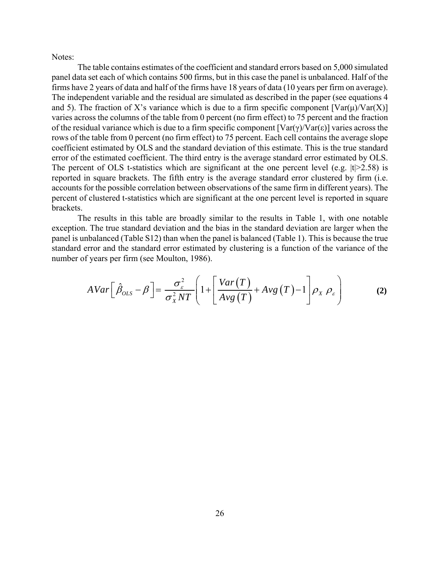The table contains estimates of the coefficient and standard errors based on 5,000 simulated panel data set each of which contains 500 firms, but in this case the panel is unbalanced. Half of the firms have 2 years of data and half of the firms have 18 years of data (10 years per firm on average). The independent variable and the residual are simulated as described in the paper (see equations 4 and 5). The fraction of X's variance which is due to a firm specific component  $[Var(\mu)/Var(X)]$ varies across the columns of the table from 0 percent (no firm effect) to 75 percent and the fraction of the residual variance which is due to a firm specific component  $[Var(y)/Var(\varepsilon)]$  varies across the rows of the table from 0 percent (no firm effect) to 75 percent. Each cell contains the average slope coefficient estimated by OLS and the standard deviation of this estimate. This is the true standard error of the estimated coefficient. The third entry is the average standard error estimated by OLS. The percent of OLS t-statistics which are significant at the one percent level (e.g.  $|t| > 2.58$ ) is reported in square brackets. The fifth entry is the average standard error clustered by firm (i.e. accounts for the possible correlation between observations of the same firm in different years). The percent of clustered t-statistics which are significant at the one percent level is reported in square brackets.

The results in this table are broadly similar to the results in Table 1, with one notable exception. The true standard deviation and the bias in the standard deviation are larger when the panel is unbalanced (Table S12) than when the panel is balanced (Table 1). This is because the true standard error and the standard error estimated by clustering is a function of the variance of the number of years per firm (see Moulton, 1986).

$$
AVar\left[\hat{\beta}_{OLS} - \beta\right] = \frac{\sigma_{\varepsilon}^2}{\sigma_X^2 NT}\left(1 + \left[\frac{Var(T)}{Avg(T)} + Avg(T) - 1\right]\rho_X \rho_{\varepsilon}\right) \tag{2}
$$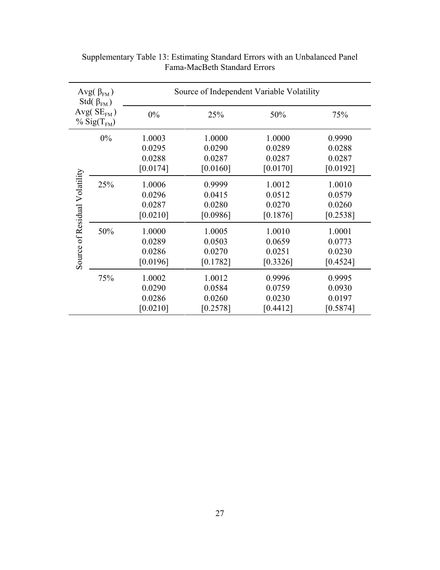| Avg( $\beta_{FM}$ )<br>Std( $\beta_{FM}$ )<br>Avg( $SE_{FM}$ )<br>$\%$ Sig(T <sub>FM</sub> ) |     | Source of Independent Variable Volatility |                                        |                                        |                                        |
|----------------------------------------------------------------------------------------------|-----|-------------------------------------------|----------------------------------------|----------------------------------------|----------------------------------------|
|                                                                                              |     | $0\%$                                     | 25%                                    | 50%                                    | 75%                                    |
| Source of Residual Volatility                                                                | 0%  | 1.0003<br>0.0295<br>0.0288<br>[0.0174]    | 1.0000<br>0.0290<br>0.0287<br>[0.0160] | 1.0000<br>0.0289<br>0.0287<br>[0.0170] | 0.9990<br>0.0288<br>0.0287<br>[0.0192] |
|                                                                                              | 25% | 1.0006<br>0.0296<br>0.0287<br>[0.0210]    | 0.9999<br>0.0415<br>0.0280<br>[0.0986] | 1.0012<br>0.0512<br>0.0270<br>[0.1876] | 1.0010<br>0.0579<br>0.0260<br>[0.2538] |
|                                                                                              | 50% | 1.0000<br>0.0289<br>0.0286<br>[0.0196]    | 1.0005<br>0.0503<br>0.0270<br>[0.1782] | 1.0010<br>0.0659<br>0.0251<br>[0.3326] | 1.0001<br>0.0773<br>0.0230<br>[0.4524] |
|                                                                                              | 75% | 1.0002<br>0.0290<br>0.0286<br>[0.0210]    | 1.0012<br>0.0584<br>0.0260<br>[0.2578] | 0.9996<br>0.0759<br>0.0230<br>[0.4412] | 0.9995<br>0.0930<br>0.0197<br>[0.5874] |

Supplementary Table 13: Estimating Standard Errors with an Unbalanced Panel Fama-MacBeth Standard Errors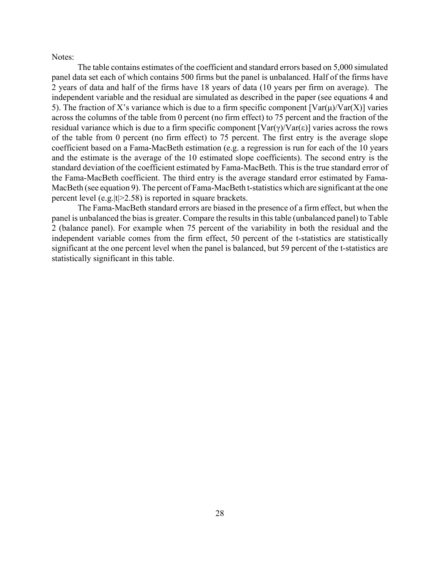The table contains estimates of the coefficient and standard errors based on 5,000 simulated panel data set each of which contains 500 firms but the panel is unbalanced. Half of the firms have 2 years of data and half of the firms have 18 years of data (10 years per firm on average). The independent variable and the residual are simulated as described in the paper (see equations 4 and 5). The fraction of X's variance which is due to a firm specific component  $[Var(\mu)/Var(X)]$  varies across the columns of the table from 0 percent (no firm effect) to 75 percent and the fraction of the residual variance which is due to a firm specific component  $[Var(y)/Var(\varepsilon)]$  varies across the rows of the table from 0 percent (no firm effect) to 75 percent. The first entry is the average slope coefficient based on a Fama-MacBeth estimation (e.g. a regression is run for each of the 10 years and the estimate is the average of the 10 estimated slope coefficients). The second entry is the standard deviation of the coefficient estimated by Fama-MacBeth. This is the true standard error of the Fama-MacBeth coefficient. The third entry is the average standard error estimated by Fama-MacBeth (see equation 9). The percent of Fama-MacBeth t-statistics which are significant at the one percent level (e.g.  $|t| > 2.58$ ) is reported in square brackets.

The Fama-MacBeth standard errors are biased in the presence of a firm effect, but when the panel is unbalanced the bias is greater. Compare the results in this table (unbalanced panel) to Table 2 (balance panel). For example when 75 percent of the variability in both the residual and the independent variable comes from the firm effect, 50 percent of the t-statistics are statistically significant at the one percent level when the panel is balanced, but 59 percent of the t-statistics are statistically significant in this table.